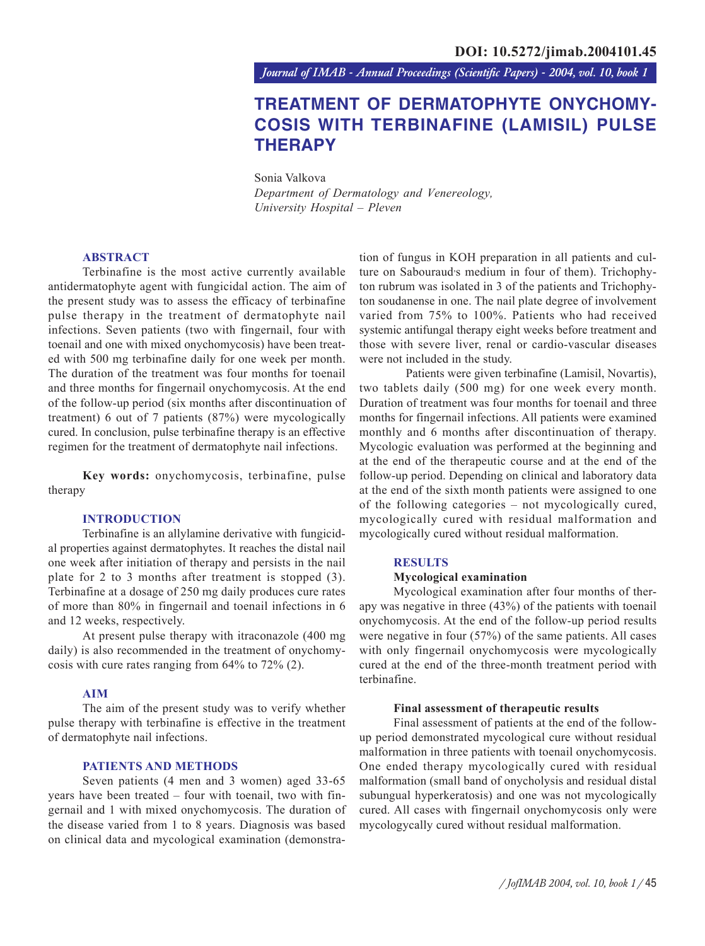*Journal of IMAB - Annual Proceedings (Scientific Papers) - 2004, vol. 10, book 1*

# **TREATMENT OF DERMATOPHYTE ONYCHOMY-COSIS WITH TERBINAFINE (LAMISIL) PULSE THERAPY**

Sonia Valkova *Department of Dermatology and Venereology, University Hospital – Pleven*

# **ABSTRACT**

Terbinafine is the most active currently available antidermatophyte agent with fungicidal action. The aim of the present study was to assess the efficacy of terbinafine pulse therapy in the treatment of dermatophyte nail infections. Seven patients (two with fingernail, four with toenail and one with mixed onychomycosis) have been treated with 500 mg terbinafine daily for one week per month. The duration of the treatment was four months for toenail and three months for fingernail onychomycosis. At the end of the follow-up period (six months after discontinuation of treatment) 6 out of 7 patients (87%) were mycologically cured. In conclusion, pulse terbinafine therapy is an effective regimen for the treatment of dermatophyte nail infections.

**Key words:** onychomycosis, terbinafine, pulse therapy

# **INTRODUCTION**

Terbinafine is an allylamine derivative with fungicidal properties against dermatophytes. It reaches the distal nail one week after initiation of therapy and persists in the nail plate for 2 to 3 months after treatment is stopped (3). Terbinafine at a dosage of 250 mg daily produces cure rates of more than 80% in fingernail and toenail infections in 6 and 12 weeks, respectively.

At present pulse therapy with itraconazole (400 mg daily) is also recommended in the treatment of onychomycosis with cure rates ranging from 64% to 72% (2).

## **AIM**

The aim of the present study was to verify whether pulse therapy with terbinafine is effective in the treatment of dermatophyte nail infections.

#### **PATIENTS AND METHODS**

Seven patients (4 men and 3 women) aged 33-65 years have been treated – four with toenail, two with fingernail and 1 with mixed onychomycosis. The duration of the disease varied from 1 to 8 years. Diagnosis was based on clinical data and mycological examination (demonstration of fungus in KOH preparation in all patients and culture on Sabouraud<sup>,</sup>s medium in four of them). Trichophyton rubrum was isolated in 3 of the patients and Trichophyton soudanense in one. The nail plate degree of involvement varied from 75% to 100%. Patients who had received systemic antifungal therapy eight weeks before treatment and those with severe liver, renal or cardio-vascular diseases were not included in the study.

 Patients were given terbinafine (Lamisil, Novartis), two tablets daily (500 mg) for one week every month. Duration of treatment was four months for toenail and three months for fingernail infections. All patients were examined monthly and 6 months after discontinuation of therapy. Mycologic evaluation was performed at the beginning and at the end of the therapeutic course and at the end of the follow-up period. Depending on clinical and laboratory data at the end of the sixth month patients were assigned to one of the following categories – not mycologically cured, mycologically cured with residual malformation and mycologically cured without residual malformation.

## **RESULTS**

#### **Mycological examination**

Mycological examination after four months of therapy was negative in three (43%) of the patients with toenail onychomycosis. At the end of the follow-up period results were negative in four (57%) of the same patients. All cases with only fingernail onychomycosis were mycologically cured at the end of the three-month treatment period with terbinafine.

#### **Final assessment of therapeutic results**

Final assessment of patients at the end of the followup period demonstrated mycological cure without residual malformation in three patients with toenail onychomycosis. One ended therapy mycologically cured with residual malformation (small band of onycholysis and residual distal subungual hyperkeratosis) and one was not mycologically cured. All cases with fingernail onychomycosis only were mycologycally cured without residual malformation.